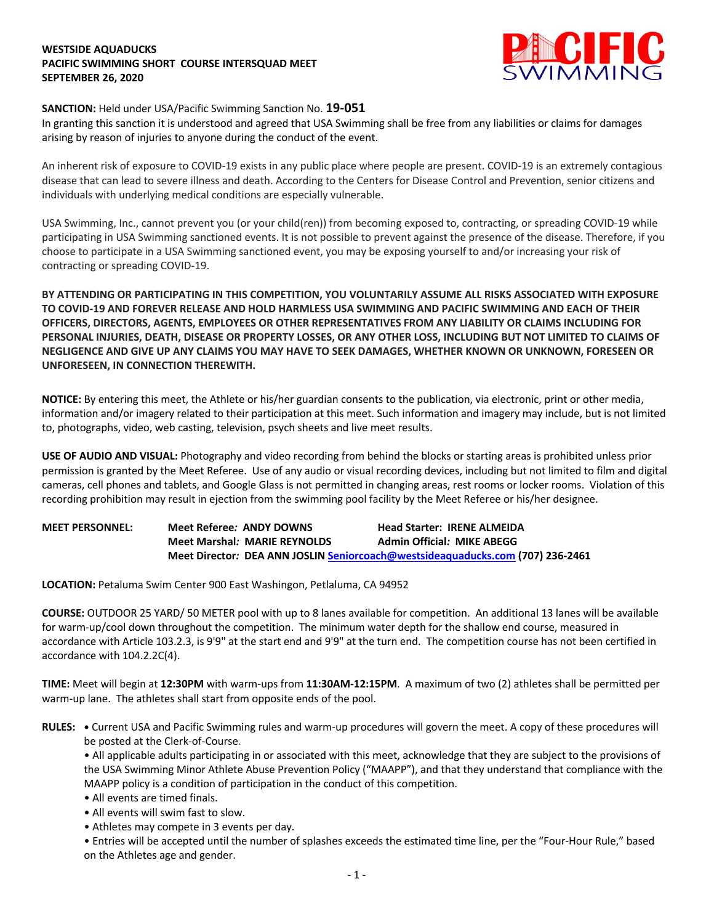## **WESTSIDE AQUADUCKS PACIFIC SWIMMING SHORT COURSE INTERSQUAD MEET SEPTEMBER 26, 2020**



# **SANCTION:** Held under USA/Pacific Swimming Sanction No. **19-051**

In granting this sanction it is understood and agreed that USA Swimming shall be free from any liabilities or claims for damages arising by reason of injuries to anyone during the conduct of the event.

An inherent risk of exposure to COVID-19 exists in any public place where people are present. COVID-19 is an extremely contagious disease that can lead to severe illness and death. According to the Centers for Disease Control and Prevention, senior citizens and individuals with underlying medical conditions are especially vulnerable.

USA Swimming, Inc., cannot prevent you (or your child(ren)) from becoming exposed to, contracting, or spreading COVID-19 while participating in USA Swimming sanctioned events. It is not possible to prevent against the presence of the disease. Therefore, if you choose to participate in a USA Swimming sanctioned event, you may be exposing yourself to and/or increasing your risk of contracting or spreading COVID-19.

**BY ATTENDING OR PARTICIPATING IN THIS COMPETITION, YOU VOLUNTARILY ASSUME ALL RISKS ASSOCIATED WITH EXPOSURE TO COVID-19 AND FOREVER RELEASE AND HOLD HARMLESS USA SWIMMING AND PACIFIC SWIMMING AND EACH OF THEIR OFFICERS, DIRECTORS, AGENTS, EMPLOYEES OR OTHER REPRESENTATIVES FROM ANY LIABILITY OR CLAIMS INCLUDING FOR PERSONAL INJURIES, DEATH, DISEASE OR PROPERTY LOSSES, OR ANY OTHER LOSS, INCLUDING BUT NOT LIMITED TO CLAIMS OF NEGLIGENCE AND GIVE UP ANY CLAIMS YOU MAY HAVE TO SEEK DAMAGES, WHETHER KNOWN OR UNKNOWN, FORESEEN OR UNFORESEEN, IN CONNECTION THEREWITH.**

**NOTICE:** By entering this meet, the Athlete or his/her guardian consents to the publication, via electronic, print or other media, information and/or imagery related to their participation at this meet. Such information and imagery may include, but is not limited to, photographs, video, web casting, television, psych sheets and live meet results.

**USE OF AUDIO AND VISUAL:** Photography and video recording from behind the blocks or starting areas is prohibited unless prior permission is granted by the Meet Referee. Use of any audio or visual recording devices, including but not limited to film and digital cameras, cell phones and tablets, and Google Glass is not permitted in changing areas, rest rooms or locker rooms. Violation of this recording prohibition may result in ejection from the swimming pool facility by the Meet Referee or his/her designee.

**MEET PERSONNEL: Meet Referee***:* **ANDY DOWNS Head Starter: IRENE ALMEIDA** **Meet Marshal***:* **MARIE REYNOLDS Admin Official***:* **MIKE ABEGG Meet Director***:* **DEA ANN JOSLIN Seniorcoach@westsideaquaducks.com (707) 236-2461**

**LOCATION:** Petaluma Swim Center 900 East Washingon, Petlaluma, CA 94952

**COURSE:** OUTDOOR 25 YARD/ 50 METER pool with up to 8 lanes available for competition. An additional 13 lanes will be available for warm-up/cool down throughout the competition. The minimum water depth for the shallow end course, measured in accordance with Article 103.2.3, is 9'9" at the start end and 9'9" at the turn end. The competition course has not been certified in accordance with 104.2.2C(4).

**TIME:** Meet will begin at **12:30PM** with warm-ups from **11:30AM-12:15PM**. A maximum of two (2) athletes shall be permitted per warm-up lane. The athletes shall start from opposite ends of the pool.

**RULES: •** Current USA and Pacific Swimming rules and warm-up procedures will govern the meet. A copy of these procedures will be posted at the Clerk-of-Course.

• All applicable adults participating in or associated with this meet, acknowledge that they are subject to the provisions of the USA Swimming Minor Athlete Abuse Prevention Policy ("MAAPP"), and that they understand that compliance with the MAAPP policy is a condition of participation in the conduct of this competition.

- All events are timed finals.
- All events will swim fast to slow.
- Athletes may compete in 3 events per day.

• Entries will be accepted until the number of splashes exceeds the estimated time line, per the "Four-Hour Rule," based on the Athletes age and gender.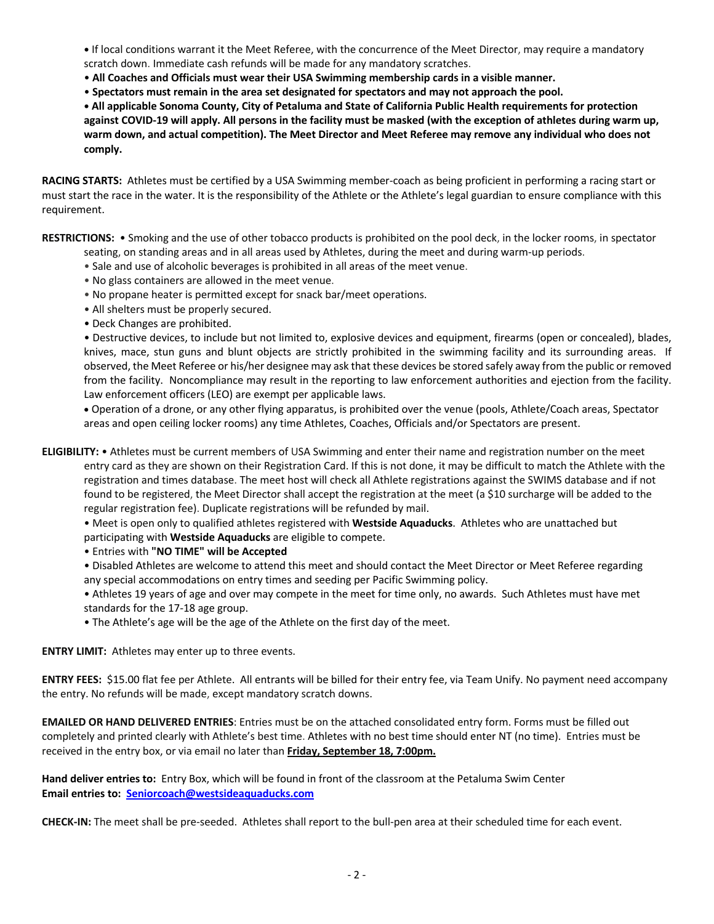**•** If local conditions warrant it the Meet Referee, with the concurrence of the Meet Director, may require a mandatory scratch down. Immediate cash refunds will be made for any mandatory scratches.

• **All Coaches and Officials must wear their USA Swimming membership cards in a visible manner.** 

• **Spectators must remain in the area set designated for spectators and may not approach the pool.** 

**• All applicable Sonoma County, City of Petaluma and State of California Public Health requirements for protection against COVID-19 will apply. All persons in the facility must be masked (with the exception of athletes during warm up, warm down, and actual competition). The Meet Director and Meet Referee may remove any individual who does not comply.** 

**RACING STARTS:** Athletes must be certified by a USA Swimming member-coach as being proficient in performing a racing start or must start the race in the water. It is the responsibility of the Athlete or the Athlete's legal guardian to ensure compliance with this requirement.

**RESTRICTIONS:** • Smoking and the use of other tobacco products is prohibited on the pool deck, in the locker rooms, in spectator seating, on standing areas and in all areas used by Athletes, during the meet and during warm-up periods.

- Sale and use of alcoholic beverages is prohibited in all areas of the meet venue.
- No glass containers are allowed in the meet venue.
- No propane heater is permitted except for snack bar/meet operations.
- All shelters must be properly secured.
- Deck Changes are prohibited.

• Destructive devices, to include but not limited to, explosive devices and equipment, firearms (open or concealed), blades, knives, mace, stun guns and blunt objects are strictly prohibited in the swimming facility and its surrounding areas. If observed, the Meet Referee or his/her designee may ask that these devices be stored safely away from the public or removed from the facility. Noncompliance may result in the reporting to law enforcement authorities and ejection from the facility. Law enforcement officers (LEO) are exempt per applicable laws.

• Operation of a drone, or any other flying apparatus, is prohibited over the venue (pools, Athlete/Coach areas, Spectator areas and open ceiling locker rooms) any time Athletes, Coaches, Officials and/or Spectators are present.

**ELIGIBILITY:** • Athletes must be current members of USA Swimming and enter their name and registration number on the meet entry card as they are shown on their Registration Card. If this is not done, it may be difficult to match the Athlete with the registration and times database. The meet host will check all Athlete registrations against the SWIMS database and if not found to be registered, the Meet Director shall accept the registration at the meet (a \$10 surcharge will be added to the regular registration fee). Duplicate registrations will be refunded by mail.

• Meet is open only to qualified athletes registered with **Westside Aquaducks**. Athletes who are unattached but

- participating with **Westside Aquaducks** are eligible to compete.
- Entries with **"NO TIME" will be Accepted**

• Disabled Athletes are welcome to attend this meet and should contact the Meet Director or Meet Referee regarding any special accommodations on entry times and seeding per Pacific Swimming policy.

• Athletes 19 years of age and over may compete in the meet for time only, no awards. Such Athletes must have met standards for the 17-18 age group.

• The Athlete's age will be the age of the Athlete on the first day of the meet.

**ENTRY LIMIT:** Athletes may enter up to three events.

**ENTRY FEES:** \$15.00 flat fee per Athlete. All entrants will be billed for their entry fee, via Team Unify. No payment need accompany the entry. No refunds will be made, except mandatory scratch downs.

**EMAILED OR HAND DELIVERED ENTRIES**: Entries must be on the attached consolidated entry form. Forms must be filled out completely and printed clearly with Athlete's best time. Athletes with no best time should enter NT (no time). Entries must be received in the entry box, or via email no later than **Friday, September 18, 7:00pm.**

**Hand deliver entries to:** Entry Box, which will be found in front of the classroom at the Petaluma Swim Center **Email entries to: Seniorcoach@westsideaquaducks.com**

**CHECK-IN:** The meet shall be pre-seeded. Athletes shall report to the bull-pen area at their scheduled time for each event.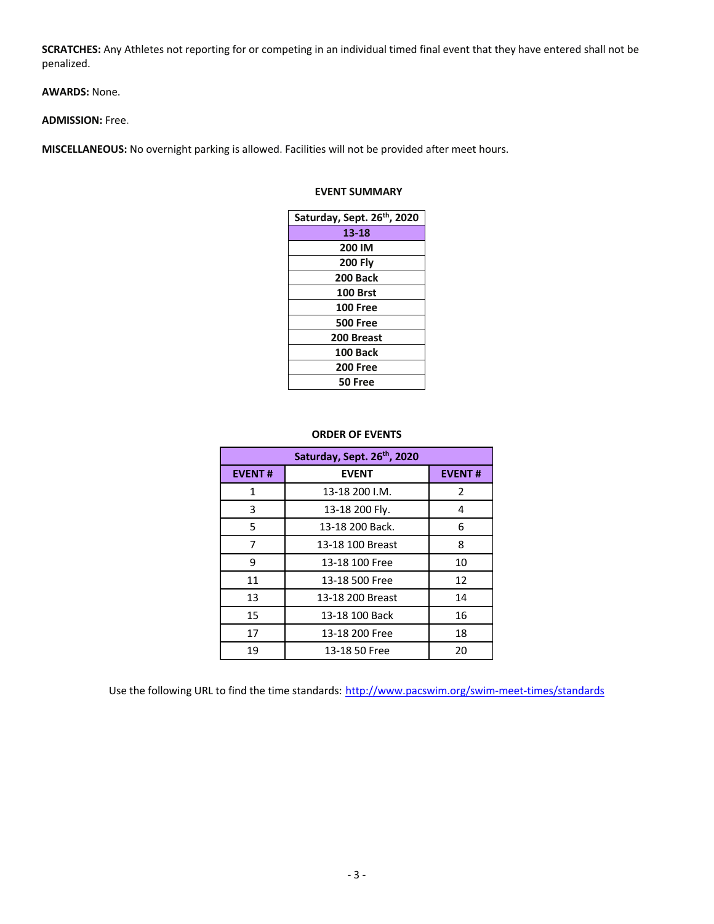**SCRATCHES:** Any Athletes not reporting for or competing in an individual timed final event that they have entered shall not be penalized.

**AWARDS:** None.

#### **ADMISSION:** Free.

**MISCELLANEOUS:** No overnight parking is allowed. Facilities will not be provided after meet hours.

# **EVENT SUMMARY**

| Saturday, Sept. 26th, 2020 |
|----------------------------|
| 13-18                      |
| 200 IM                     |
| <b>200 Fly</b>             |
| 200 Back                   |
| <b>100 Brst</b>            |
| <b>100 Free</b>            |
| <b>500 Free</b>            |
| 200 Breast                 |
| 100 Back                   |
| <b>200 Free</b>            |
| 50 Free                    |

# **ORDER OF EVENTS**

| Saturday, Sept. 26th, 2020 |                  |               |  |  |  |  |  |  |  |
|----------------------------|------------------|---------------|--|--|--|--|--|--|--|
| <b>EVENT#</b>              | <b>EVENT</b>     | <b>EVENT#</b> |  |  |  |  |  |  |  |
| 1                          | 13-18 200 I.M.   | 2             |  |  |  |  |  |  |  |
| 3                          | 13-18 200 Fly.   | 4             |  |  |  |  |  |  |  |
| 5                          | 13-18 200 Back.  | 6             |  |  |  |  |  |  |  |
| 7                          | 13-18 100 Breast | 8             |  |  |  |  |  |  |  |
| 9                          | 13-18 100 Free   | 10            |  |  |  |  |  |  |  |
| 11                         | 13-18 500 Free   | 12            |  |  |  |  |  |  |  |
| 13                         | 13-18 200 Breast | 14            |  |  |  |  |  |  |  |
| 15                         | 13-18 100 Back   | 16            |  |  |  |  |  |  |  |
| 17                         | 13-18 200 Free   | 18            |  |  |  |  |  |  |  |
| 19                         | 13-18 50 Free    | 20            |  |  |  |  |  |  |  |

Use the following URL to find the time standards: http://www.pacswim.org/swim-meet-times/standards